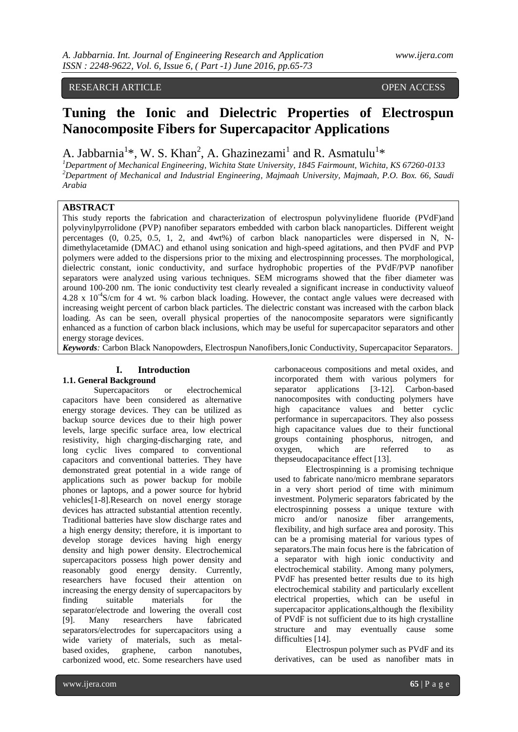# RESEARCH ARTICLE OPEN ACCESS

# **Tuning the Ionic and Dielectric Properties of Electrospun Nanocomposite Fibers for Supercapacitor Applications**

A. Jabbarnia<sup>1\*</sup>, W. S. Khan<sup>2</sup>, A. Ghazinezami<sup>1</sup> and R. Asmatulu<sup>1\*</sup>

*<sup>1</sup>Department of Mechanical Engineering, Wichita State University, 1845 Fairmount, Wichita, KS 67260-0133 <sup>2</sup>Department of Mechanical and Industrial Engineering, Majmaah University, Majmaah, P.O. Box. 66, Saudi Arabia*

## **ABSTRACT**

This study reports the fabrication and characterization of electrospun polyvinylidene fluoride (PVdF)and polyvinylpyrrolidone (PVP) nanofiber separators embedded with carbon black nanoparticles. Different weight percentages (0, 0.25, 0.5, 1, 2, and 4wt%) of carbon black nanoparticles were dispersed in N, Ndimethylacetamide (DMAC) and ethanol using sonication and high-speed agitations, and then PVdF and PVP polymers were added to the dispersions prior to the mixing and electrospinning processes. The morphological, dielectric constant, ionic conductivity, and surface hydrophobic properties of the PVdF/PVP nanofiber separators were analyzed using various techniques. SEM micrograms showed that the fiber diameter was around 100-200 nm. The ionic conductivity test clearly revealed a significant increase in conductivity valueof 4.28 x 10<sup>-4</sup>S/cm for 4 wt. % carbon black loading. However, the contact angle values were decreased with increasing weight percent of carbon black particles. The dielectric constant was increased with the carbon black loading. As can be seen, overall physical properties of the nanocomposite separators were significantly enhanced as a function of carbon black inclusions, which may be useful for supercapacitor separators and other energy storage devices.

*Keywords:* Carbon Black Nanopowders, Electrospun Nanofibers,Ionic Conductivity, Supercapacitor Separators.

# **I. Introduction**

# **1.1. General Background**

Supercapacitors or electrochemical capacitors have been considered as alternative energy storage devices. They can be utilized as backup source devices due to their high power levels, large specific surface area, low electrical resistivity, high charging-discharging rate, and long cyclic lives compared to conventional capacitors and conventional batteries. They have demonstrated great potential in a wide range of applications such as power backup for mobile phones or laptops, and a power source for hybrid vehicles[1-8].Research on novel energy storage devices has attracted substantial attention recently. Traditional batteries have slow discharge rates and a high energy density; therefore, it is important to develop storage devices having high energy density and high power density. Electrochemical supercapacitors possess high power density and reasonably good energy density. Currently, researchers have focused their attention on increasing the energy density of supercapacitors by finding suitable materials for the separator/electrode and lowering the overall cost [9]. Many researchers have fabricated separators/electrodes for supercapacitors using a wide variety of materials, such as metalbased oxides, graphene, carbon nanotubes, carbonized wood, etc. Some researchers have used

carbonaceous compositions and metal oxides, and incorporated them with various polymers for separator applications [3-12]. Carbon-based nanocomposites with conducting polymers have high capacitance values and better cyclic performance in supercapacitors. They also possess high capacitance values due to their functional groups containing phosphorus, nitrogen, and oxygen, which are referred to as thepseudocapacitance effect [13].

Electrospinning is a promising technique used to fabricate nano/micro membrane separators in a very short period of time with minimum investment. Polymeric separators fabricated by the electrospinning possess a unique texture with micro and/or nanosize fiber arrangements, flexibility, and high surface area and porosity. This can be a promising material for various types of separators.The main focus here is the fabrication of a separator with high ionic conductivity and electrochemical stability. Among many polymers, PVdF has presented better results due to its high electrochemical stability and particularly excellent electrical properties, which can be useful in supercapacitor applications,although the flexibility of PVdF is not sufficient due to its high crystalline structure and may eventually cause some difficulties [14].

Electrospun polymer such as PVdF and its derivatives, can be used as nanofiber mats in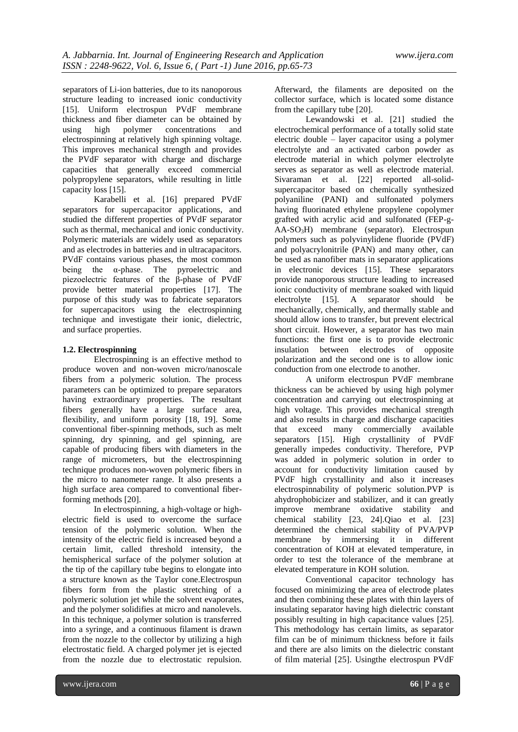separators of Li-ion batteries, due to its nanoporous structure leading to increased ionic conductivity [15]. Uniform electrospun PVdF membrane thickness and fiber diameter can be obtained by using high polymer concentrations and electrospinning at relatively high spinning voltage. This improves mechanical strength and provides the PVdF separator with charge and discharge capacities that generally exceed commercial polypropylene separators, while resulting in little capacity loss [15].

Karabelli et al. [16] prepared PVdF separators for supercapacitor applications, and studied the different properties of PVdF separator such as thermal, mechanical and ionic conductivity. Polymeric materials are widely used as separators and as electrodes in batteries and in ultracapacitors. PVdF contains various phases, the most common being the  $\alpha$ -phase. The pyroelectric and piezoelectric features of the β-phase of PVdF provide better material properties [17]. The purpose of this study was to fabricate separators for supercapacitors using the electrospinning technique and investigate their ionic, dielectric, and surface properties.

## **1.2. Electrospinning**

Electrospinning is an effective method to produce woven and non-woven micro/nanoscale fibers from a polymeric solution. The process parameters can be optimized to prepare separators having extraordinary properties. The resultant fibers generally have a large surface area, flexibility, and uniform porosity [18, 19]. Some conventional fiber-spinning methods, such as melt spinning, dry spinning, and gel spinning, are capable of producing fibers with diameters in the range of micrometers, but the electrospinning technique produces non-woven polymeric fibers in the micro to nanometer range. It also presents a high surface area compared to conventional fiberforming methods [20].

In electrospinning, a high-voltage or highelectric field is used to overcome the surface tension of the polymeric solution. When the intensity of the electric field is increased beyond a certain limit, called threshold intensity, the hemispherical surface of the polymer solution at the tip of the capillary tube begins to elongate into a structure known as the Taylor cone.Electrospun fibers form from the plastic stretching of a polymeric solution jet while the solvent evaporates, and the polymer solidifies at micro and nanolevels. In this technique, a polymer solution is transferred into a syringe, and a continuous filament is drawn from the nozzle to the collector by utilizing a high electrostatic field. A charged polymer jet is ejected from the nozzle due to electrostatic repulsion.

Afterward, the filaments are deposited on the collector surface, which is located some distance from the capillary tube [20].

Lewandowski et al. [21] studied the electrochemical performance of a totally solid state electric double – layer capacitor using a polymer electrolyte and an activated carbon powder as electrode material in which polymer electrolyte serves as separator as well as electrode material. Sivaraman et al. [22] reported all-solidsupercapacitor based on chemically synthesized polyaniline (PANI) and sulfonated polymers having fluorinated ethylene propylene copolymer grafted with acrylic acid and sulfonated (FEP-g-AA-SO3H) membrane (separator). Electrospun polymers such as polyvinylidene fluoride (PVdF) and polyacrylonitrile (PAN) and many other, can be used as nanofiber mats in separator applications in electronic devices [15]. These separators provide nanoporous structure leading to increased ionic conductivity of membrane soaked with liquid electrolyte [15]. A separator should be mechanically, chemically, and thermally stable and should allow ions to transfer, but prevent electrical short circuit. However, a separator has two main functions: the first one is to provide electronic insulation between electrodes of opposite polarization and the second one is to allow ionic conduction from one electrode to another.

A uniform electrospun PVdF membrane thickness can be achieved by using high polymer concentration and carrying out electrospinning at high voltage. This provides mechanical strength and also results in charge and discharge capacities that exceed many commercially available separators [15]. High crystallinity of PVdF generally impedes conductivity. Therefore, PVP was added in polymeric solution in order to account for conductivity limitation caused by PVdF high crystallinity and also it increases electrospinnability of polymeric solution.PVP is ahydrophobicizer and stabilizer, and it can greatly improve membrane oxidative stability and chemical stability [23, 24].Qiao et al. [23] determined the chemical stability of PVA/PVP membrane by immersing it in different concentration of KOH at elevated temperature, in order to test the tolerance of the membrane at elevated temperature in KOH solution.

Conventional capacitor technology has focused on minimizing the area of electrode plates and then combining these plates with thin layers of insulating separator having high dielectric constant possibly resulting in high capacitance values [25]. This methodology has certain limits, as separator film can be of minimum thickness before it fails and there are also limits on the dielectric constant of film material [25]. Usingthe electrospun PVdF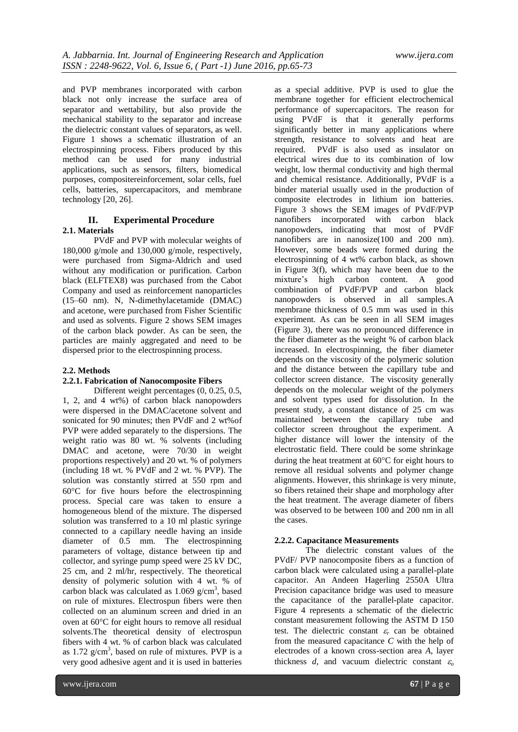and PVP membranes incorporated with carbon black not only increase the surface area of separator and wettability, but also provide the mechanical stability to the separator and increase the dielectric constant values of separators, as well. Figure 1 shows a schematic illustration of an electrospinning process. Fibers produced by this method can be used for many industrial applications, such as sensors, filters, biomedical purposes, compositereinforcement, solar cells, fuel cells, batteries, supercapacitors, and membrane technology [20, 26].

# **II. Experimental Procedure 2.1. Materials**

PVdF and PVP with molecular weights of 180,000 g/mole and 130,000 g/mole, respectively, were purchased from Sigma-Aldrich and used without any modification or purification. Carbon black (ELFTEX8) was purchased from the Cabot Company and used as reinforcement nanoparticles (15–60 nm). N, N-dimethylacetamide (DMAC) and acetone, were purchased from Fisher Scientific and used as solvents. Figure 2 shows SEM images of the carbon black powder. As can be seen, the particles are mainly aggregated and need to be dispersed prior to the electrospinning process.

# **2.2. Methods**

# **2.2.1. Fabrication of Nanocomposite Fibers**

Different weight percentages (0, 0.25, 0.5, 1, 2, and 4 wt%) of carbon black nanopowders were dispersed in the DMAC/acetone solvent and sonicated for 90 minutes; then PVdF and 2 wt%of PVP were added separately to the dispersions. The weight ratio was 80 wt. % solvents (including DMAC and acetone, were 70/30 in weight proportions respectively) and 20 wt. % of polymers (including 18 wt. % PVdF and 2 wt. % PVP). The solution was constantly stirred at 550 rpm and  $60^{\circ}$ C for five hours before the electrospinning process. Special care was taken to ensure a homogeneous blend of the mixture. The dispersed solution was transferred to a 10 ml plastic syringe connected to a capillary needle having an inside diameter of 0.5 mm. The electrospinning parameters of voltage, distance between tip and collector, and syringe pump speed were 25 kV DC, 25 cm, and 2 ml/hr, respectively. The theoretical density of polymeric solution with 4 wt. % of carbon black was calculated as  $1.069$  g/cm<sup>3</sup>, based on rule of mixtures. Electrospun fibers were then collected on an aluminum screen and dried in an oven at 60°C for eight hours to remove all residual solvents.The theoretical density of electrospun fibers with 4 wt. % of carbon black was calculated as  $1.72$  g/cm<sup>3</sup>, based on rule of mixtures. PVP is a very good adhesive agent and it is used in batteries

as a special additive. PVP is used to glue the membrane together for efficient electrochemical performance of supercapacitors. The reason for using PVdF is that it generally performs significantly better in many applications where strength, resistance to solvents and heat are required. PVdF is also used as insulator on electrical wires due to its combination of low weight, low thermal conductivity and high thermal and chemical resistance. Additionally, PVdF is a binder material usually used in the production of composite electrodes in lithium ion batteries. Figure 3 shows the SEM images of PVdF/PVP nanofibers incorporated with carbon black nanopowders, indicating that most of PVdF nanofibers are in nanosize(100 and 200 nm). However, some beads were formed during the electrospinning of 4 wt% carbon black, as shown in Figure 3(f), which may have been due to the mixture's high carbon content. A good mixture's high carbon content. A good combination of PVdF/PVP and carbon black nanopowders is observed in all samples.A membrane thickness of 0.5 mm was used in this experiment. As can be seen in all SEM images (Figure 3), there was no pronounced difference in the fiber diameter as the weight % of carbon black increased. In electrospinning, the fiber diameter depends on the viscosity of the polymeric solution and the distance between the capillary tube and collector screen distance. The viscosity generally depends on the molecular weight of the polymers and solvent types used for dissolution. In the present study, a constant distance of 25 cm was maintained between the capillary tube and collector screen throughout the experiment. A higher distance will lower the intensity of the electrostatic field. There could be some shrinkage during the heat treatment at  $60^{\circ}$ C for eight hours to remove all residual solvents and polymer change alignments. However, this shrinkage is very minute, so fibers retained their shape and morphology after the heat treatment. The average diameter of fibers was observed to be between 100 and 200 nm in all the cases.

# **2.2.2. Capacitance Measurements**

The dielectric constant values of the PVdF/ PVP nanocomposite fibers as a function of carbon black were calculated using a parallel-plate capacitor. An Andeen Hagerling 2550A Ultra Precision capacitance bridge was used to measure the capacitance of the parallel-plate capacitor. Figure 4 represents a schematic of the dielectric constant measurement following the ASTM D 150 test. The dielectric constant  $\varepsilon_r$  can be obtained from the measured capacitance *C* with the help of electrodes of a known cross-section area *A*, layer thickness *d*, and vacuum dielectric constant  $\varepsilon$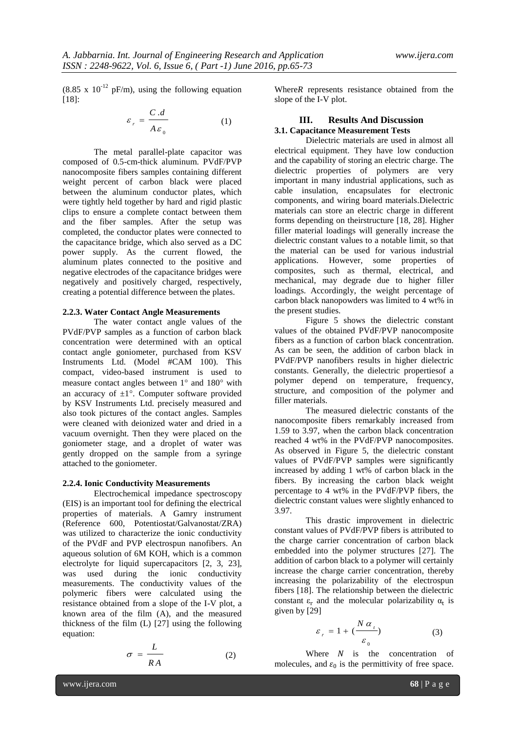$(8.85 \times 10^{-12} \text{ pF/m})$ , using the following equation [18]:

$$
\varepsilon_r = \frac{C.d}{A\varepsilon_0} \tag{1}
$$

The metal parallel-plate capacitor was composed of 0.5-cm-thick aluminum. PVdF/PVP nanocomposite fibers samples containing different weight percent of carbon black were placed between the aluminum conductor plates, which were tightly held together by hard and rigid plastic clips to ensure a complete contact between them and the fiber samples. After the setup was completed, the conductor plates were connected to the capacitance bridge, which also served as a DC power supply. As the current flowed, the aluminum plates connected to the positive and negative electrodes of the capacitance bridges were negatively and positively charged, respectively, creating a potential difference between the plates.

#### **2.2.3. Water Contact Angle Measurements**

The water contact angle values of the PVdF/PVP samples as a function of carbon black concentration were determined with an optical contact angle goniometer, purchased from KSV Instruments Ltd. (Model #CAM 100). This compact, video-based instrument is used to measure contact angles between  $1^{\circ}$  and  $180^{\circ}$  with an accuracy of  $\pm 1^{\circ}$ . Computer software provided by KSV Instruments Ltd. precisely measured and also took pictures of the contact angles. Samples were cleaned with deionized water and dried in a vacuum overnight. Then they were placed on the goniometer stage, and a droplet of water was gently dropped on the sample from a syringe attached to the goniometer.

#### **2.2.4. Ionic Conductivity Measurements**

Electrochemical impedance spectroscopy (EIS) is an important tool for defining the electrical properties of materials. A Gamry instrument (Reference 600, Potentiostat/Galvanostat/ZRA) was utilized to characterize the ionic conductivity of the PVdF and PVP electrospun nanofibers. An aqueous solution of 6M KOH, which is a common electrolyte for liquid supercapacitors [2, 3, 23], was used during the ionic conductivity measurements. The conductivity values of the polymeric fibers were calculated using the resistance obtained from a slope of the I-V plot, a known area of the film (A), and the measured thickness of the film (L) [27] using the following equation:

$$
\sigma = \frac{L}{RA} \tag{2}
$$

Where*R* represents resistance obtained from the slope of the I-V plot.

# **III. Results And Discussion 3.1. Capacitance Measurement Tests**

Dielectric materials are used in almost all electrical equipment. They have low conduction and the capability of storing an electric charge. The dielectric properties of polymers are very important in many industrial applications, such as cable insulation, encapsulates for electronic components, and wiring board materials.Dielectric materials can store an electric charge in different forms depending on theirstructure [18, 28]. Higher filler material loadings will generally increase the dielectric constant values to a notable limit, so that the material can be used for various industrial applications. However, some properties of composites, such as thermal, electrical, and mechanical, may degrade due to higher filler loadings. Accordingly, the weight percentage of carbon black nanopowders was limited to 4 wt% in the present studies.

Figure 5 shows the dielectric constant values of the obtained PVdF/PVP nanocomposite fibers as a function of carbon black concentration. As can be seen, the addition of carbon black in PVdF/PVP nanofibers results in higher dielectric constants. Generally, the dielectric propertiesof a polymer depend on temperature, frequency, structure, and composition of the polymer and filler materials.

The measured dielectric constants of the nanocomposite fibers remarkably increased from 1.59 to 3.97, when the carbon black concentration reached 4 wt% in the PVdF/PVP nanocomposites. As observed in Figure 5, the dielectric constant values of PVdF/PVP samples were significantly increased by adding 1 wt% of carbon black in the fibers. By increasing the carbon black weight percentage to 4 wt% in the PVdF/PVP fibers, the dielectric constant values were slightly enhanced to 3.97.

This drastic improvement in dielectric constant values of PVdF/PVP fibers is attributed to the charge carrier concentration of carbon black embedded into the polymer structures [27]. The addition of carbon black to a polymer will certainly increase the charge carrier concentration, thereby increasing the polarizability of the electrospun fibers [18]. The relationship between the dielectric constant  $\varepsilon_r$  and the molecular polarizability  $\alpha_t$  is given by [29]

$$
\varepsilon_r = 1 + \left(\frac{N\alpha_t}{\varepsilon_0}\right) \tag{3}
$$

Where  $N$  is the concentration of molecules, and  $\varepsilon_0$  is the permittivity of free space.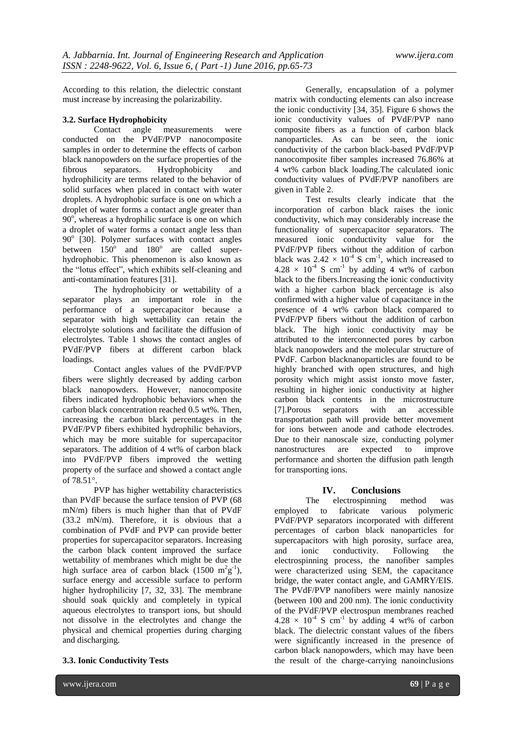According to this relation, the dielectric constant must increase by increasing the polarizability.

# **3.2. Surface Hydrophobicity**

Contact angle measurements were conducted on the PVdF/PVP nanocomposite samples in order to determine the effects of carbon black nanopowders on the surface properties of the fibrous separators. Hydrophobicity and hydrophilicity are terms related to the behavior of solid surfaces when placed in contact with water droplets. A hydrophobic surface is one on which a droplet of water forms a contact angle greater than  $90^\circ$ , whereas a hydrophilic surface is one on which a droplet of water forms a contact angle less than 90° [30]. Polymer surfaces with contact angles between  $150^{\circ}$  and  $180^{\circ}$  are called superhydrophobic. This phenomenon is also known as the "lotus effect", which exhibits self-cleaning and anti-contamination features [31].

The hydrophobicity or wettability of a separator plays an important role in the performance of a supercapacitor because a separator with high wettability can retain the electrolyte solutions and facilitate the diffusion of electrolytes. Table 1 shows the contact angles of PVdF/PVP fibers at different carbon black loadings.

Contact angles values of the PVdF/PVP fibers were slightly decreased by adding carbon black nanopowders. However, nanocomposite fibers indicated hydrophobic behaviors when the carbon black concentration reached 0.5 wt%. Then, increasing the carbon black percentages in the PVdF/PVP fibers exhibited hydrophilic behaviors, which may be more suitable for supercapacitor separators. The addition of 4 wt% of carbon black into PVdF/PVP fibers improved the wetting property of the surface and showed a contact angle of  $78.51^{\circ}$ .

PVP has higher wettability characteristics than PVdF because the surface tension of PVP (68 mN/m) fibers is much higher than that of PVdF (33.2 mN/m). Therefore, it is obvious that a combination of PVdF and PVP can provide better properties for supercapacitor separators. Increasing the carbon black content improved the surface wettability of membranes which might be due the high surface area of carbon black  $(1500 \text{ m}^2 \text{g}^{-1})$ , surface energy and accessible surface to perform higher hydrophilicity [7, 32, 33]. The membrane should soak quickly and completely in typical aqueous electrolytes to transport ions, but should not dissolve in the electrolytes and change the physical and chemical properties during charging and discharging.

**3.3. Ionic Conductivity Tests**

Generally, encapsulation of a polymer matrix with conducting elements can also increase the ionic conductivity  $[34, 35]$ . Figure 6 shows the ionic conductivity values of PVdF/PVP nano composite fibers as a function of carbon black nanoparticles. As can be seen, the ionic conductivity of the carbon black-based PVdF/PVP nanocomposite fiber samples increased 76.86% at 4 wt% carbon black loading.The calculated ionic conductivity values of PVdF/PVP nanofibers are given in Table 2.

Test results clearly indicate that the incorporation of carbon black raises the ionic conductivity, which may considerably increase the functionality of supercapacitor separators. The measured ionic conductivity value for the PVdF/PVP fibers without the addition of carbon black was  $2.42 \times 10^{-4}$  S cm<sup>-1</sup>, which increased to  $4.28 \times 10^{-4}$  S cm<sup>-1</sup> by adding 4 wt% of carbon black to the fibers.Increasing the ionic conductivity with a higher carbon black percentage is also confirmed with a higher value of capacitance in the presence of 4 wt% carbon black compared to PVdF/PVP fibers without the addition of carbon black. The high ionic conductivity may be attributed to the interconnected pores by carbon black nanopowders and the molecular structure of PVdF. Carbon blacknanoparticles are found to be highly branched with open structures, and high porosity which might assist ionsto move faster, resulting in higher ionic conductivity at higher carbon black contents in the microstructure [7].Porous separators with an accessible transportation path will provide better movement for ions between anode and cathode electrodes. Due to their nanoscale size, conducting polymer nanostructures are expected to improve performance and shorten the diffusion path length for transporting ions.

# **IV. Conclusions**

The electrospinning method was employed to fabricate various polymeric PVdF/PVP separators incorporated with different percentages of carbon black nanoparticles for supercapacitors with high porosity, surface area, and ionic conductivity. Following the electrospinning process, the nanofiber samples were characterized using SEM, the capacitance bridge, the water contact angle, and GAMRY/EIS. The PVdF/PVP nanofibers were mainly nanosize (between 100 and 200 nm). The ionic conductivity of the PVdF/PVP electrospun membranes reached  $4.28 \times 10^{-4}$  S cm<sup>-1</sup> by adding 4 wt% of carbon black. The dielectric constant values of the fibers were significantly increased in the presence of carbon black nanopowders, which may have been the result of the charge-carrying nanoinclusions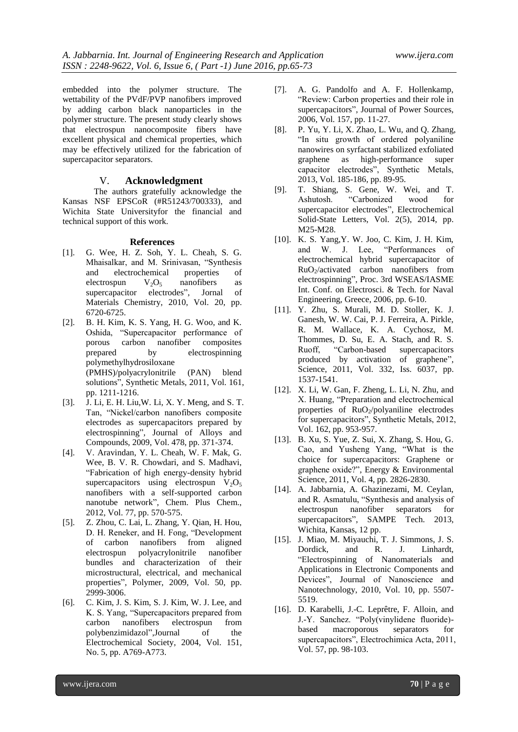embedded into the polymer structure. The wettability of the PVdF/PVP nanofibers improved by adding carbon black nanoparticles in the polymer structure. The present study clearly shows that electrospun nanocomposite fibers have excellent physical and chemical properties, which may be effectively utilized for the fabrication of supercapacitor separators.

## V. **Acknowledgment**

The authors gratefully acknowledge the Kansas NSF EPSCoR (#R51243/700333), and Wichita State Universityfor the financial and technical support of this work.

#### **References**

- [1]. G. Wee, H. Z. Soh, Y. L. Cheah, S. G. Mhaisalkar, and M. Srinivasan, "Synthesis and electrochemical properties of electrospun  $V_2O_5$  nanofibers as supercapacitor electrodes", Jornal of Materials Chemistry, 2010, Vol. 20, pp. 6720-6725.
- [2]. B. H. Kim, K. S. Yang, H. G. Woo, and K. Oshida, "Supercapacitor performance of porous carbon nanofiber composites prepared by electrospinning polymethylhydrosiloxane (PMHS)/polyacrylonitrile (PAN) blend solutions", Synthetic Metals, 2011, Vol. 161, pp. 1211-1216.
- [3]. J. Li, E. H. Liu,W. Li, X. Y. Meng, and S. T. Tan, "Nickel/carbon nanofibers composite electrodes as supercapacitors prepared by electrospinning", Journal of Alloys and Compounds, 2009, Vol. 478, pp. 371-374.
- [4]. V. Aravindan, Y. L. Cheah, W. F. Mak, G. Wee, B. V. R. Chowdari, and S. Madhavi, "Fabrication of high energy-density hybrid supercapacitors using electrospun  $V_2O_5$ nanofibers with a self-supported carbon nanotube network", Chem. Plus Chem., 2012, Vol. 77, pp. 570-575.
- [5]. Z. Zhou, C. Lai, L. Zhang, Y. Qian, H. Hou, D. H. Reneker, and H. Fong, "Development of carbon nanofibers from aligned electrospun polyacrylonitrile nanofiber bundles and characterization of their microstructural, electrical, and mechanical properties", Polymer, 2009, Vol. 50, pp. 2999-3006.
- [6]. C. Kim, J. S. Kim, S. J. Kim, W. J. Lee, and K. S. Yang, "Supercapacitors prepared from carbon nanofibers electrospun from polybenzimidazol",Journal of the Electrochemical Society, 2004, Vol. 151, No. 5, pp. A769-A773.
- [7]. A. G. Pandolfo and A. F. Hollenkamp, "Review: Carbon properties and their role in supercapacitors", Journal of Power Sources, 2006, Vol. 157, pp. 11-27.
- [8]. P. Yu, Y. Li, X. Zhao, L. Wu, and Q. Zhang, "In situ growth of ordered polyaniline nanowires on syrfactant stabilized exfoliated graphene as high-performance super capacitor electrodes", Synthetic Metals, 2013, Vol. 185-186, pp. 89-95.
- [9]. T. Shiang, S. Gene, W. Wei, and T. Ashutosh. "Carbonized wood for supercapacitor electrodes", Electrochemical Solid-State Letters, Vol. 2(5), 2014, pp. M25-M28.
- [10]. K. S. Yang,Y. W. Joo, C. Kim, J. H. Kim, and W. J. Lee, "Performances of electrochemical hybrid supercapacitor of RuO2/activated carbon nanofibers from electrospinning", Proc. 3rd WSEAS/IASME Int. Conf. on Electrosci. & Tech. for Naval Engineering, Greece, 2006, pp. 6-10.
- [11]. Y. Zhu, S. Murali, M. D. Stoller, K. J. Ganesh, W. W. Cai, P. J. Ferreira, A. Pirkle, R. M. Wallace, K. A. Cychosz, M. Thommes, D. Su, E. A. Stach, and R. S. Ruoff, "Carbon-based supercapacitors produced by activation of graphene", Science, 2011, Vol. 332, Iss. 6037, pp. 1537-1541.
- [12]. X. Li, W. Gan, F. Zheng, L. Li, N. Zhu, and X. Huang, "Preparation and electrochemical properties of  $RuO<sub>2</sub>/polyaniline$  electrodes for supercapacitors", Synthetic Metals, 2012, Vol. 162, pp. 953-957.
- [13]. B. Xu, S. Yue, Z. Sui, X. Zhang, S. Hou, G. Cao, and Yusheng Yang, "What is the choice for supercapacitors: Graphene or graphene oxide?", Energy & Environmental Science, 2011, Vol. 4, pp. 2826-2830.
- [14]. A. Jabbarnia, A. Ghazinezami, M. Ceylan, and R. Asmatulu, "Synthesis and analysis of electrospun nanofiber separators for supercapacitors", SAMPE Tech. 2013, Wichita, Kansas, 12 pp.
- [15]. J. Miao, M. Miyauchi, T. J. Simmons, J. S. Dordick, and R. J. Linhardt, "Electrospinning of Nanomaterials and Applications in Electronic Components and Devices", Journal of Nanoscience and Nanotechnology, 2010, Vol. 10, pp. 5507- 5519.
- [16]. D. Karabelli, J.-C. Leprêtre, F. Alloin, and J.-Y. Sanchez. "Poly(vinylidene fluoride) based macroporous separators for supercapacitors", Electrochimica Acta, 2011, Vol. 57, pp. 98-103.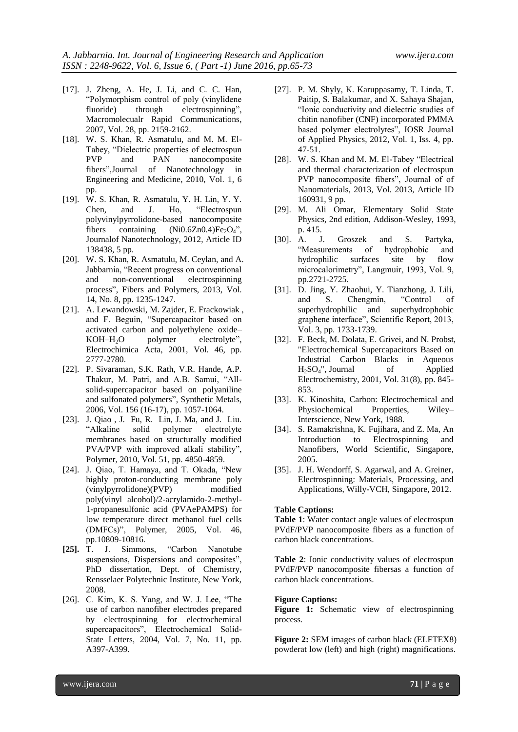- [17]. J. Zheng, A. He, J. Li, and C. C. Han, "Polymorphism control of poly (vinylidene fluoride) through electrospinning", Macromolecualr Rapid Communications, 2007, Vol. 28, pp. 2159-2162.
- [18]. W. S. Khan, R. Asmatulu, and M. M. El-Tabey, "Dielectric properties of electrospun PVP and PAN nanocomposite fibers",Journal of Nanotechnology in Engineering and Medicine, 2010, Vol. 1, 6 pp.
- [19]. W. S. Khan, R. Asmatulu, Y. H. Lin, Y. Y. Chen, and J. Ho, "Electrospun polyvinylpyrrolidone-based nanocomposite fibers containing  $(Ni0.6Zn0.4)Fe<sub>2</sub>O<sub>4</sub>$ ", Journalof Nanotechnology, 2012, Article ID 138438, 5 pp.
- [20]. W. S. Khan, R. Asmatulu, M. Ceylan, and A. Jabbarnia, "Recent progress on conventional and non-conventional electrospinning process", Fibers and Polymers, 2013, Vol. 14, No. 8, pp. 1235-1247.
- [21]. A. Lewandowski, M. Zajder, E. Frackowiak , and F. Beguin, "Supercapacitor based on activated carbon and polyethylene oxide– KOH–H<sub>2</sub>O polymer electrolyte". Electrochimica Acta, 2001, Vol. 46, pp. 2777-2780.
- [22]. P. Sivaraman, S.K. Rath, V.R. Hande, A.P. Thakur, M. Patri, and A.B. Samui, "Allsolid-supercapacitor based on polyaniline and sulfonated polymers", Synthetic Metals, 2006, Vol. 156 (16-17), pp. 1057-1064.
- [23]. J. Qiao , J. Fu, R. Lin, J. Ma, and J. Liu. "Alkaline solid polymer electrolyte membranes based on structurally modified PVA/PVP with improved alkali stability", Polymer, 2010, Vol. 51, pp. 4850-4859.
- [24]. J. Qiao, T. Hamaya, and T. Okada, "New highly proton-conducting membrane poly (vinylpyrrolidone)(PVP) modified poly(vinyl alcohol)/2-acrylamido-2-methyl-1-propanesulfonic acid (PVAePAMPS) for low temperature direct methanol fuel cells (DMFCs)", Polymer, 2005, Vol. 46, pp.10809-10816.
- **[25].** T. J. Simmons, "Carbon Nanotube suspensions, Dispersions and composites", PhD dissertation, Dept. of Chemistry, Rensselaer Polytechnic Institute, New York, 2008.
- [26]. C. Kim, K. S. Yang, and W. J. Lee, "The use of carbon nanofiber electrodes prepared by electrospinning for electrochemical supercapacitors", Electrochemical Solid-State Letters, 2004, Vol. 7, No. 11, pp. A397-A399.
- [27]. P. M. Shyly, K. Karuppasamy, T. Linda, T. Paitip, S. Balakumar, and X. Sahaya Shajan, "Ionic conductivity and dielectric studies of chitin nanofiber (CNF) incorporated PMMA based polymer electrolytes", IOSR Journal of Applied Physics, 2012, Vol. 1, Iss. 4, pp. 47-51.
- [28]. W. S. Khan and M. M. El-Tabey "Electrical and thermal characterization of electrospun PVP nanocomposite fibers", Journal of of Nanomaterials, 2013, Vol. 2013, Article ID 160931, 9 pp.
- [29]. M. Ali Omar, Elementary Solid State Physics, 2nd edition, Addison-Wesley, 1993, p. 415.
- [30]. A. J. Groszek and S. Partyka, "Measurements of hydrophobic and hydrophilic surfaces site by flow microcalorimetry", Langmuir, 1993, Vol. 9, pp.2721-2725.
- [31]. D. Jing, Y. Zhaohui, Y. Tianzhong, J. Lili, and S. Chengmin, "Control of superhydrophilic and superhydrophobic graphene interface", Scientific Report, 2013, Vol. 3, pp. 1733-1739.
- [32]. F. Beck, M. Dolata, E. Grivei, and N. Probst, "Electrochemical Supercapacitors Based on Industrial Carbon Blacks in Aqueous H2SO4", Journal of Applied Electrochemistry, 2001, Vol. 31(8), pp. 845- 853.
- [33]. K. Kinoshita, Carbon: Electrochemical and Physiochemical Properties, Wiley– Interscience, New York, 1988.
- [34]. S. Ramakrishna, K. Fujihara, and Z. Ma, An Introduction to Electrospinning and Nanofibers, World Scientific, Singapore, 2005.
- [35]. J. H. Wendorff, S. Agarwal, and A. Greiner, Electrospinning: Materials, Processing, and Applications, Willy-VCH, Singapore, 2012.

#### **Table Captions:**

**Table 1**: Water contact angle values of electrospun PVdF/PVP nanocomposite fibers as a function of carbon black concentrations.

**Table 2**: Ionic conductivity values of electrospun PVdF/PVP nanocomposite fibersas a function of carbon black concentrations.

#### **Figure Captions:**

**Figure 1:** Schematic view of electrospinning process.

**Figure 2:** SEM images of carbon black (ELFTEX8) powderat low (left) and high (right) magnifications.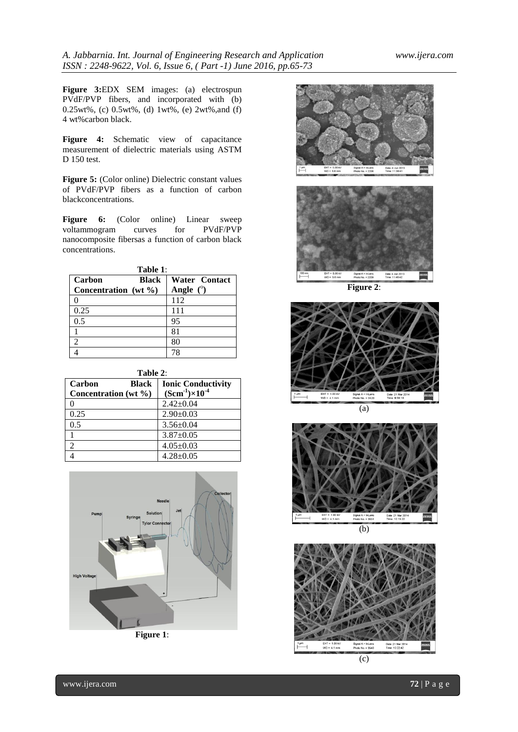**Figure 3:**EDX SEM images: (a) electrospun PVdF/PVP fibers, and incorporated with (b) 0.25wt%, (c) 0.5wt%, (d) 1wt%, (e) 2wt%,and (f) 4 wt%carbon black.

Figure 4: Schematic view of capacitance measurement of dielectric materials using ASTM D 150 test.

**Figure 5:** (Color online) Dielectric constant values of PVdF/PVP fibers as a function of carbon blackconcentrations.

Figure 6: **(Color online)** Linear sweep voltammogram curves for PVdF/PVP nanocomposite fibersas a function of carbon black concentrations.

| l'able |  |
|--------|--|
|        |  |

| Carbon<br>Black      | <b>Water</b> Contact |
|----------------------|----------------------|
| Concentration (wt %) | Angle $(°)$          |
|                      | 112                  |
| 0.25                 | 111                  |
| 0.5                  | 95                   |
|                      | 81                   |
| 2                    | 80                   |
|                      | 78                   |

| `able |  |
|-------|--|
|-------|--|

| <b>Ionic Conductivity</b><br>$(Scm^{-1}) \times 10^{-4}$ |
|----------------------------------------------------------|
| $2.42 \pm 0.04$                                          |
| $2.90 \pm 0.03$                                          |
| $3.56 \pm 0.04$                                          |
| $3.87 \pm 0.05$                                          |
| $4.05 \pm 0.03$                                          |
| $4.28 \pm 0.05$                                          |
|                                                          |







 $\overline{(b)}$ 

Date<br>Time